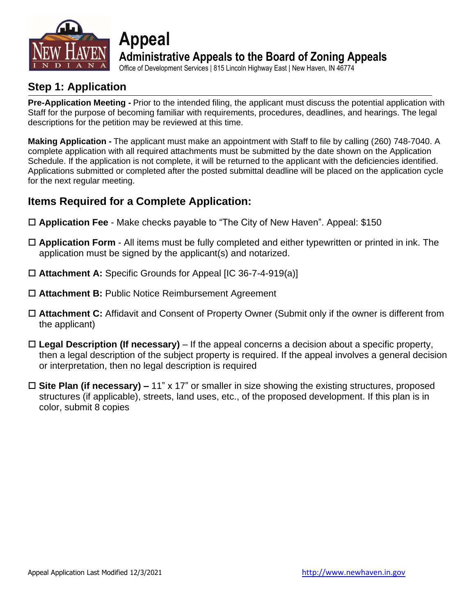

**Administrative Appeals to the Board of Zoning Appeals**

Office of Development Services | 815 Lincoln Highway East | New Haven, IN 46774

### **Step 1: Application**

**Pre-Application Meeting -** Prior to the intended filing, the applicant must discuss the potential application with Staff for the purpose of becoming familiar with requirements, procedures, deadlines, and hearings. The legal descriptions for the petition may be reviewed at this time.

**Making Application -** The applicant must make an appointment with Staff to file by calling (260) 748-7040. A complete application with all required attachments must be submitted by the date shown on the Application Schedule. If the application is not complete, it will be returned to the applicant with the deficiencies identified. Applications submitted or completed after the posted submittal deadline will be placed on the application cycle for the next regular meeting.

### **Items Required for a Complete Application:**

**Appeal**

- **Application Fee** Make checks payable to "The City of New Haven". Appeal: \$150
- **Application Form** All items must be fully completed and either typewritten or printed in ink. The application must be signed by the applicant(s) and notarized.
- **Attachment A:** Specific Grounds for Appeal [IC 36-7-4-919(a)]
- **Attachment B:** Public Notice Reimbursement Agreement
- **Attachment C:** Affidavit and Consent of Property Owner (Submit only if the owner is different from the applicant)
- **Legal Description (If necessary)** If the appeal concerns a decision about a specific property, then a legal description of the subject property is required. If the appeal involves a general decision or interpretation, then no legal description is required
- **Site Plan (if necessary) –** 11" x 17" or smaller in size showing the existing structures, proposed structures (if applicable), streets, land uses, etc., of the proposed development. If this plan is in color, submit 8 copies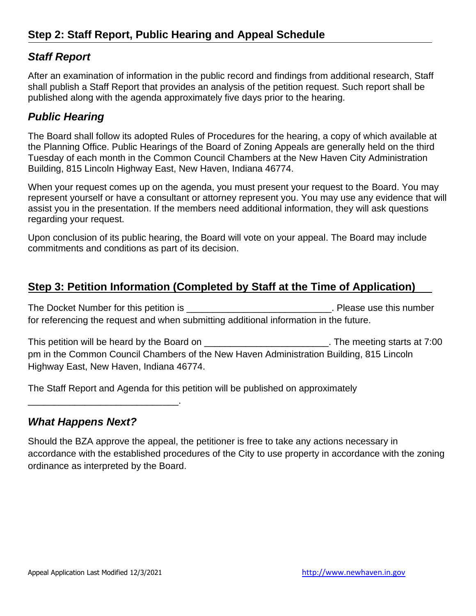### *Staff Report*

After an examination of information in the public record and findings from additional research, Staff shall publish a Staff Report that provides an analysis of the petition request. Such report shall be published along with the agenda approximately five days prior to the hearing.

### *Public Hearing*

The Board shall follow its adopted Rules of Procedures for the hearing, a copy of which available at the Planning Office. Public Hearings of the Board of Zoning Appeals are generally held on the third Tuesday of each month in the Common Council Chambers at the New Haven City Administration Building, 815 Lincoln Highway East, New Haven, Indiana 46774.

When your request comes up on the agenda, you must present your request to the Board. You may represent yourself or have a consultant or attorney represent you. You may use any evidence that will assist you in the presentation. If the members need additional information, they will ask questions regarding your request.

Upon conclusion of its public hearing, the Board will vote on your appeal. The Board may include commitments and conditions as part of its decision.

### **Step 3: Petition Information (Completed by Staff at the Time of Application)**

The Docket Number for this petition is \_\_\_\_\_\_\_\_\_\_\_\_\_\_\_\_\_\_\_\_\_\_\_\_\_\_\_\_\_\_\_\_\_. Please use this number for referencing the request and when submitting additional information in the future.

This petition will be heard by the Board on \_\_\_\_\_\_\_\_\_\_\_\_\_\_\_\_\_\_\_\_\_\_\_\_\_\_. The meeting starts at 7:00 pm in the Common Council Chambers of the New Haven Administration Building, 815 Lincoln Highway East, New Haven, Indiana 46774.

The Staff Report and Agenda for this petition will be published on approximately

### *What Happens Next?*

\_\_\_\_\_\_\_\_\_\_\_\_\_\_\_\_\_\_\_\_\_\_\_\_\_\_\_\_\_.

Should the BZA approve the appeal, the petitioner is free to take any actions necessary in accordance with the established procedures of the City to use property in accordance with the zoning ordinance as interpreted by the Board.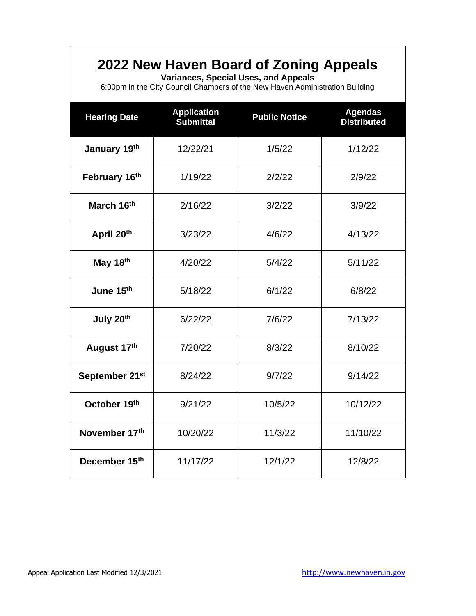## **2022 New Haven Board of Zoning Appeals**

**Variances, Special Uses, and Appeals**

6:00pm in the City Council Chambers of the New Haven Administration Building

| <b>Hearing Date</b>        | <b>Application</b><br><b>Submittal</b> | <b>Public Notice</b> | <b>Agendas</b><br><b>Distributed</b> |  |
|----------------------------|----------------------------------------|----------------------|--------------------------------------|--|
| January 19th               | 12/22/21                               | 1/5/22               | 1/12/22                              |  |
| February 16th              | 1/19/22                                | 2/2/22               | 2/9/22                               |  |
| March 16th                 | 2/16/22                                | 3/2/22               | 3/9/22                               |  |
| April 20th                 | 3/23/22                                | 4/6/22               | 4/13/22                              |  |
| May 18th                   | 4/20/22                                | 5/4/22               | 5/11/22                              |  |
| June 15th                  | 5/18/22                                | 6/1/22               | 6/8/22                               |  |
| July 20th                  | 6/22/22                                | 7/6/22               | 7/13/22                              |  |
| August 17th                | 7/20/22                                | 8/3/22               | 8/10/22                              |  |
| September 21 <sup>st</sup> | 8/24/22                                | 9/7/22               | 9/14/22                              |  |
| October 19th               | 9/21/22                                | 10/5/22              | 10/12/22                             |  |
| November 17th              | 10/20/22                               | 11/3/22              | 11/10/22                             |  |
| December 15th              | 11/17/22                               | 12/1/22              | 12/8/22                              |  |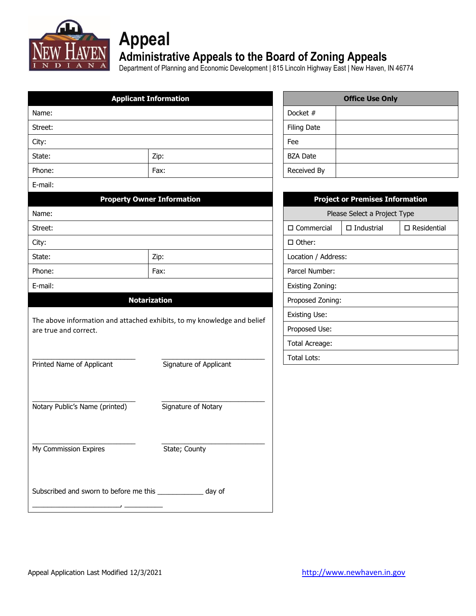

# **Appeal**

### **Administrative Appeals to the Board of Zoning Appeals**

Department of Planning and Economic Development | 815 Lincoln Highway East | New Haven, IN 46774

|                                                                                                  | <b>Applicant Information</b>      |                      |             | <b>Office Use Only</b>                 |                       |
|--------------------------------------------------------------------------------------------------|-----------------------------------|----------------------|-------------|----------------------------------------|-----------------------|
| Name:                                                                                            |                                   | Docket #             |             |                                        |                       |
| Street:                                                                                          |                                   | <b>Filing Date</b>   |             |                                        |                       |
| City:                                                                                            |                                   | Fee                  |             |                                        |                       |
| State:                                                                                           | Zip:                              | <b>BZA Date</b>      |             |                                        |                       |
| Phone:                                                                                           | Fax:                              |                      | Received By |                                        |                       |
| E-mail:                                                                                          |                                   |                      |             |                                        |                       |
|                                                                                                  | <b>Property Owner Information</b> |                      |             | <b>Project or Premises Information</b> |                       |
| Name:                                                                                            |                                   |                      |             | Please Select a Project Type           |                       |
| Street:                                                                                          |                                   | $\square$ Commercial |             | $\Box$ Industrial                      | $\square$ Residential |
| City:                                                                                            |                                   | □ Other:             |             |                                        |                       |
| State:                                                                                           | Zip:                              | Location / Address:  |             |                                        |                       |
| Phone:                                                                                           | Fax:                              | Parcel Number:       |             |                                        |                       |
| E-mail:                                                                                          |                                   | Existing Zoning:     |             |                                        |                       |
|                                                                                                  | <b>Notarization</b>               | Proposed Zoning:     |             |                                        |                       |
|                                                                                                  |                                   | <b>Existing Use:</b> |             |                                        |                       |
| The above information and attached exhibits, to my knowledge and belief<br>are true and correct. |                                   | Proposed Use:        |             |                                        |                       |
|                                                                                                  |                                   | Total Acreage:       |             |                                        |                       |
|                                                                                                  |                                   | <b>Total Lots:</b>   |             |                                        |                       |
| Printed Name of Applicant                                                                        | Signature of Applicant            |                      |             |                                        |                       |
|                                                                                                  |                                   |                      |             |                                        |                       |
| Notary Public's Name (printed)                                                                   | Signature of Notary               |                      |             |                                        |                       |
|                                                                                                  |                                   |                      |             |                                        |                       |
|                                                                                                  |                                   |                      |             |                                        |                       |
| My Commission Expires                                                                            | State; County                     |                      |             |                                        |                       |
|                                                                                                  |                                   |                      |             |                                        |                       |
|                                                                                                  |                                   |                      |             |                                        |                       |
| Subscribed and sworn to before me this ______________ day of                                     |                                   |                      |             |                                        |                       |
|                                                                                                  |                                   |                      |             |                                        |                       |
|                                                                                                  |                                   |                      |             |                                        |                       |

| <b>Office Use Only</b> |  |  |  |
|------------------------|--|--|--|
| Docket #               |  |  |  |
| <b>Filing Date</b>     |  |  |  |
| Fee                    |  |  |  |
| <b>BZA Date</b>        |  |  |  |
| Received By            |  |  |  |

| <b>Project or Premises Information</b> |                                            |  |  |  |
|----------------------------------------|--------------------------------------------|--|--|--|
| Please Select a Project Type           |                                            |  |  |  |
| □ Commercial                           | $\square$ Industrial<br>$\Box$ Residential |  |  |  |
| $\Box$ Other:                          |                                            |  |  |  |
| Location / Address:                    |                                            |  |  |  |
| Parcel Number:                         |                                            |  |  |  |
| <b>Existing Zoning:</b>                |                                            |  |  |  |
| Proposed Zoning:                       |                                            |  |  |  |
| Existing Use:                          |                                            |  |  |  |
| Proposed Use:                          |                                            |  |  |  |
| Total Acreage:                         |                                            |  |  |  |
| Total Lots:                            |                                            |  |  |  |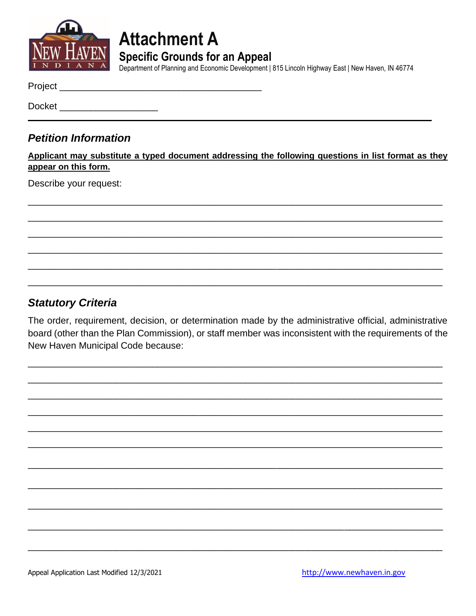

## **Attachment A Specific Grounds for an Appeal**

Department of Planning and Economic Development | 815 Lincoln Highway East | New Haven, IN 46774

Project\_

**Docket Docket** 

### **Petition Information**

Applicant may substitute a typed document addressing the following questions in list format as they appear on this form.

Describe your request:

### **Statutory Criteria**

The order, requirement, decision, or determination made by the administrative official, administrative board (other than the Plan Commission), or staff member was inconsistent with the requirements of the New Haven Municipal Code because: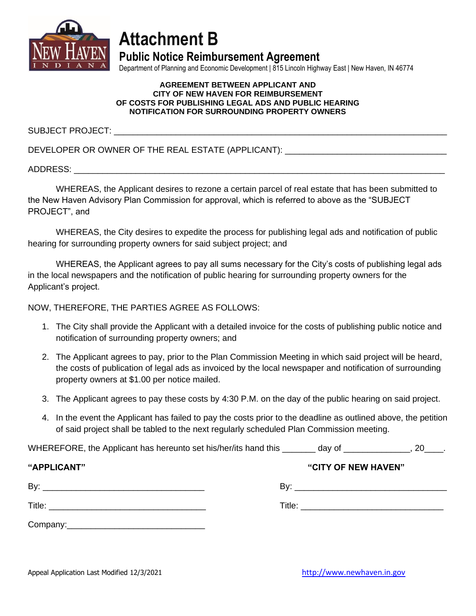

## **Attachment B**

**Public Notice Reimbursement Agreement**

Department of Planning and Economic Development | 815 Lincoln Highway East | New Haven, IN 46774

#### **AGREEMENT BETWEEN APPLICANT AND CITY OF NEW HAVEN FOR REIMBURSEMENT OF COSTS FOR PUBLISHING LEGAL ADS AND PUBLIC HEARING NOTIFICATION FOR SURROUNDING PROPERTY OWNERS**

SUBJECT PROJECT:

DEVELOPER OR OWNER OF THE REAL ESTATE (APPLICANT): \_\_\_\_\_\_\_\_\_\_\_\_\_\_\_\_\_\_\_\_\_\_\_\_\_\_\_\_\_

ADDRESS: \_\_\_\_\_\_\_\_\_\_\_\_\_\_\_\_\_\_\_\_\_\_\_\_\_\_\_\_\_\_\_\_\_\_\_\_\_\_\_\_\_\_\_\_\_\_\_\_\_\_\_\_\_\_\_\_\_\_\_\_\_\_\_\_\_\_\_\_\_\_\_\_\_\_\_\_\_\_

WHEREAS, the Applicant desires to rezone a certain parcel of real estate that has been submitted to the New Haven Advisory Plan Commission for approval, which is referred to above as the "SUBJECT PROJECT", and

WHEREAS, the City desires to expedite the process for publishing legal ads and notification of public hearing for surrounding property owners for said subject project; and

WHEREAS, the Applicant agrees to pay all sums necessary for the City's costs of publishing legal ads in the local newspapers and the notification of public hearing for surrounding property owners for the Applicant's project.

NOW, THEREFORE, THE PARTIES AGREE AS FOLLOWS:

- 1. The City shall provide the Applicant with a detailed invoice for the costs of publishing public notice and notification of surrounding property owners; and
- 2. The Applicant agrees to pay, prior to the Plan Commission Meeting in which said project will be heard, the costs of publication of legal ads as invoiced by the local newspaper and notification of surrounding property owners at \$1.00 per notice mailed.
- 3. The Applicant agrees to pay these costs by 4:30 P.M. on the day of the public hearing on said project.
- 4. In the event the Applicant has failed to pay the costs prior to the deadline as outlined above, the petition of said project shall be tabled to the next regularly scheduled Plan Commission meeting.

WHEREFORE, the Applicant has hereunto set his/her/its hand this \_\_\_\_\_\_\_ day of \_\_\_\_\_\_\_\_\_\_\_\_\_\_\_, 20\_\_\_\_.

| "APPLICANT" | "CITY OF NEW HAVEN" |
|-------------|---------------------|
| By:         | Bv:                 |
|             |                     |
| Title:      | Title:              |
|             |                     |
| Company:    |                     |

Appeal Application Last Modified 12/3/2021 [http://www.newhaven.in.gov](http://www.newhaven.in.gov/)